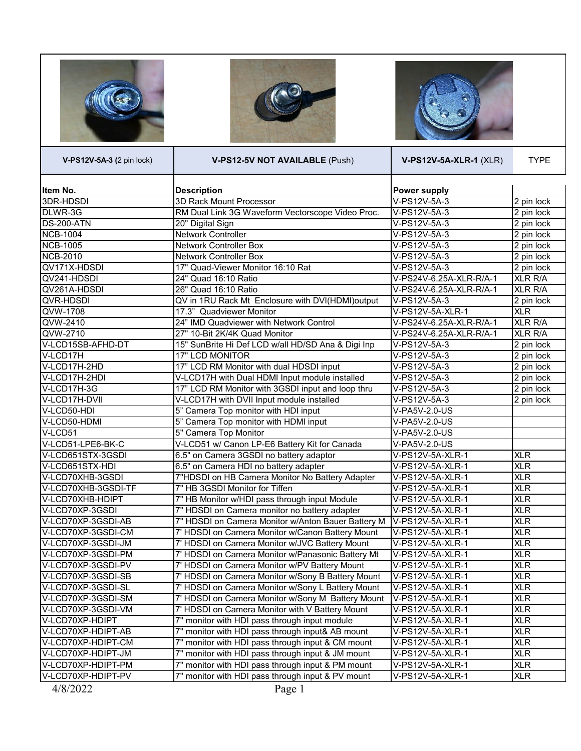





| V-PS12V-5A-3 (2 pin lock) | V-PS12-5V NOT AVAILABLE (Push)                     | V-PS12V-5A-XLR-1 (XLR)               | <b>TYPE</b>              |
|---------------------------|----------------------------------------------------|--------------------------------------|--------------------------|
| Item No.                  | <b>Description</b>                                 | <b>Power supply</b>                  |                          |
| 3DR-HDSDI                 | 3D Rack Mount Processor                            | V-PS12V-5A-3                         | $\overline{2}$ pin lock  |
| DLWR-3G                   | RM Dual Link 3G Waveform Vectorscope Video Proc.   | V-PS12V-5A-3                         | 2 pin lock               |
| <b>DS-200-ATN</b>         | 20" Digital Sign                                   | V-PS12V-5A-3                         | 2 pin lock               |
| <b>NCB-1004</b>           | <b>Network Controller</b>                          | V-PS12V-5A-3                         | 2 pin lock               |
| <b>NCB-1005</b>           | <b>Network Controller Box</b>                      | V-PS12V-5A-3                         | 2 pin lock               |
| <b>NCB-2010</b>           | <b>Network Controller Box</b>                      | V-PS12V-5A-3                         | 2 pin lock               |
| QV171X-HDSDI              | 17" Quad-Viewer Monitor 16:10 Rat                  | V-PS12V-5A-3                         | 2 pin lock               |
| QV241-HDSDI               | 24" Quad 16:10 Ratio                               | V-PS24V-6.25A-XLR-R/A-1              | <b>XLR R/A</b>           |
| QV261A-HDSDI              | 26" Quad 16:10 Ratio                               | V-PS24V-6.25A-XLR-R/A-1              | <b>XLR R/A</b>           |
| QVR-HDSDI                 | QV in 1RU Rack Mt Enclosure with DVI(HDMI)output   | V-PS12V-5A-3                         | 2 pin lock               |
| QVW-1708                  | 17.3" Quadviewer Monitor                           | V-PS12V-5A-XLR-1                     | <b>XLR</b>               |
| QVW-2410                  | 24" IMD Quadviewer with Network Control            | V-PS24V-6.25A-XLR-R/A-1              | <b>XLR R/A</b>           |
| QVW-2710                  | 27" 10-Bit 2K/4K Quad Monitor                      | V-PS24V-6.25A-XLR-R/A-1              | <b>XLR R/A</b>           |
| V-LCD15SB-AFHD-DT         | 15" SunBrite Hi Def LCD w/all HD/SD Ana & Digi Inp | V-PS12V-5A-3                         | 2 pin lock               |
| $V-LCD17H$                | 17" LCD MONITOR                                    | V-PS12V-5A-3                         | 2 pin lock               |
| V-LCD17H-2HD              | 17" LCD RM Monitor with dual HDSDI input           | $V-PS12V-5A-3$                       | $\overline{2}$ pin lock  |
| V-LCD17H-2HDI             | V-LCD17H with Dual HDMI Input module installed     | V-PS12V-5A-3                         | 2 pin lock               |
| V-LCD17H-3G               | 17" LCD RM Monitor with 3GSDI input and loop thru  | V-PS12V-5A-3                         | 2 pin lock               |
| V-LCD17H-DVII             | V-LCD17H with DVII Input module installed          | V-PS12V-5A-3                         | 2 pin lock               |
| V-LCD50-HDI               | 5" Camera Top monitor with HDI input               | V-PA5V-2.0-US                        |                          |
| V-LCD50-HDMI              | 5" Camera Top monitor with HDMI input              | V-PA5V-2.0-US                        |                          |
| V-LCD51                   | 5" Camera Top Monitor                              | V-PA5V-2.0-US                        |                          |
| V-LCD51-LPE6-BK-C         | V-LCD51 w/ Canon LP-E6 Battery Kit for Canada      | V-PA5V-2.0-US                        |                          |
| V-LCD651STX-3GSDI         | 6.5" on Camera 3GSDI no battery adaptor            | V-PS12V-5A-XLR-1                     | <b>XLR</b>               |
| V-LCD651STX-HDI           | 6.5" on Camera HDI no battery adapter              | V-PS12V-5A-XLR-1                     | <b>XLR</b>               |
| V-LCD70XHB-3GSDI          | 7"HDSDI on HB Camera Monitor No Battery Adapter    | V-PS12V-5A-XLR-1                     | <b>XLR</b>               |
| V-LCD70XHB-3GSDI-TF       | 7" HB 3GSDI Monitor for Tiffen                     | V-PS12V-5A-XLR-1                     | <b>XLR</b>               |
| V-LCD70XHB-HDIPT          | 7" HB Monitor w/HDI pass through input Module      | V-PS12V-5A-XLR-1                     | <b>XLR</b>               |
| V-LCD70XP-3GSDI           | 7" HDSDI on Camera monitor no battery adapter      | V-PS12V-5A-XLR-1                     | <b>XLR</b>               |
| V-LCD70XP-3GSDI-AB        | 7" HDSDI on Camera Monitor w/Anton Bauer Battery M | V-PS12V-5A-XLR-1                     | <b>XLR</b>               |
| V-LCD70XP-3GSDI-CM        | 7' HDSDI on Camera Monitor w/Canon Battery Mount   | V-PS12V-5A-XLR-1                     | <b>XLR</b>               |
| V-LCD70XP-3GSDI-JM        | 7' HDSDI on Camera Monitor w/JVC Battery Mount     | V-PS12V-5A-XLR-1                     | <b>XLR</b>               |
| V-LCD70XP-3GSDI-PM        | 7' HDSDI on Camera Monitor w/Panasonic Battery Mt  | V-PS12V-5A-XLR-1                     | <b>XLR</b>               |
| V-LCD70XP-3GSDI-PV        | 7' HDSDI on Camera Monitor w/PV Battery Mount      | V-PS12V-5A-XLR-1                     | <b>XLR</b>               |
| V-LCD70XP-3GSDI-SB        | 7' HDSDI on Camera Monitor w/Sony B Battery Mount  | V-PS12V-5A-XLR-1                     | <b>XLR</b>               |
| V-LCD70XP-3GSDI-SL        | 7' HDSDI on Camera Monitor w/Sony L Battery Mount  | V-PS12V-5A-XLR-1                     | <b>XLR</b>               |
| V-LCD70XP-3GSDI-SM        | 7' HDSDI on Camera Monitor w/Sony M Battery Mount  | V-PS12V-5A-XLR-1                     | <b>XLR</b>               |
| V-LCD70XP-3GSDI-VM        | 7' HDSDI on Camera Monitor with V Battery Mount    | V-PS12V-5A-XLR-1                     | <b>XLR</b>               |
| V-LCD70XP-HDIPT           | 7" monitor with HDI pass through input module      |                                      | <b>XLR</b>               |
| V-LCD70XP-HDIPT-AB        | 7" monitor with HDI pass through input& AB mount   | V-PS12V-5A-XLR-1                     |                          |
| V-LCD70XP-HDIPT-CM        | 7" monitor with HDI pass through input & CM mount  | V-PS12V-5A-XLR-1                     | <b>XLR</b><br><b>XLR</b> |
| V-LCD70XP-HDIPT-JM        | 7" monitor with HDI pass through input & JM mount  | V-PS12V-5A-XLR-1<br>V-PS12V-5A-XLR-1 | <b>XLR</b>               |
| V-LCD70XP-HDIPT-PM        | 7" monitor with HDI pass through input & PM mount  | V-PS12V-5A-XLR-1                     | <b>XLR</b>               |
|                           | 7" monitor with HDI pass through input & PV mount  |                                      |                          |
| V-LCD70XP-HDIPT-PV        |                                                    | V-PS12V-5A-XLR-1                     | <b>XLR</b>               |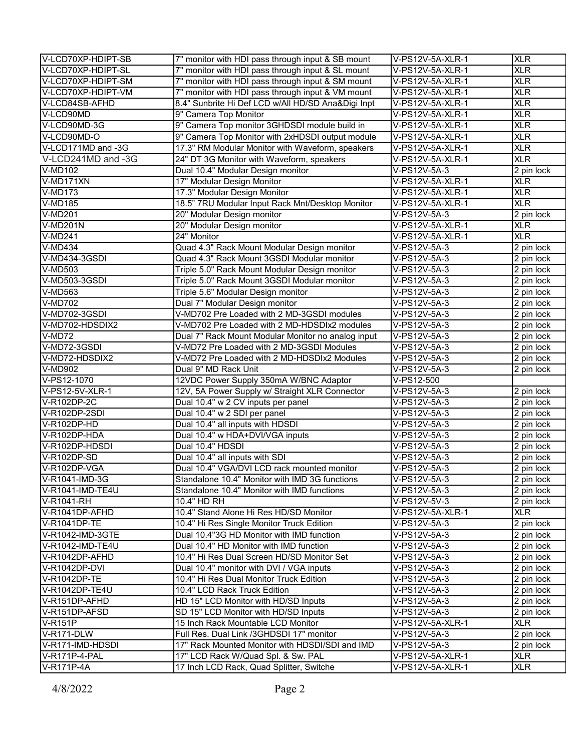| V-LCD70XP-HDIPT-SB | 7" monitor with HDI pass through input & SB mount  | V-PS12V-5A-XLR-1 | <b>XLR</b> |
|--------------------|----------------------------------------------------|------------------|------------|
| V-LCD70XP-HDIPT-SL | 7" monitor with HDI pass through input & SL mount  | V-PS12V-5A-XLR-1 | <b>XLR</b> |
| V-LCD70XP-HDIPT-SM | 7" monitor with HDI pass through input & SM mount  | V-PS12V-5A-XLR-1 | <b>XLR</b> |
| V-LCD70XP-HDIPT-VM | 7" monitor with HDI pass through input & VM mount  | V-PS12V-5A-XLR-1 | <b>XLR</b> |
| V-LCD84SB-AFHD     | 8.4" Sunbrite Hi Def LCD w/All HD/SD Ana&Digi Inpt | V-PS12V-5A-XLR-1 | <b>XLR</b> |
| V-LCD90MD          | 9" Camera Top Monitor                              | V-PS12V-5A-XLR-1 | <b>XLR</b> |
| V-LCD90MD-3G       | 9" Camera Top monitor 3GHDSDI module build in      | V-PS12V-5A-XLR-1 | <b>XLR</b> |
| V-LCD90MD-O        | 9" Camera Top Monitor with 2xHDSDI output module   | V-PS12V-5A-XLR-1 | <b>XLR</b> |
| V-LCD171MD and -3G | 17.3" RM Modular Monitor with Waveform, speakers   | V-PS12V-5A-XLR-1 | <b>XLR</b> |
| V-LCD241MD and -3G | 24" DT 3G Monitor with Waveform, speakers          | V-PS12V-5A-XLR-1 | <b>XLR</b> |
| $V-MD102$          | Dual 10.4" Modular Design monitor                  | V-PS12V-5A-3     | 2 pin lock |
| $V-MD171XN$        | 17" Modular Design Monitor                         | V-PS12V-5A-XLR-1 | <b>XLR</b> |
| $V-MD173$          | 17.3" Modular Design Monitor                       | V-PS12V-5A-XLR-1 | <b>XLR</b> |
| $V-MD185$          | 18.5" 7RU Modular Input Rack Mnt/Desktop Monitor   | V-PS12V-5A-XLR-1 | <b>XLR</b> |
| $V-MD201$          | 20" Modular Design monitor                         | V-PS12V-5A-3     | 2 pin lock |
| $V-MD201N$         | 20" Modular Design monitor                         | V-PS12V-5A-XLR-1 | <b>XLR</b> |
| <b>V-MD241</b>     | 24" Monitor                                        | V-PS12V-5A-XLR-1 | <b>XLR</b> |
| <b>V-MD434</b>     | Quad 4.3" Rack Mount Modular Design monitor        | V-PS12V-5A-3     | 2 pin lock |
| V-MD434-3GSDI      | Quad 4.3" Rack Mount 3GSDI Modular monitor         | V-PS12V-5A-3     | 2 pin lock |
| V-MD503            | Triple 5.0" Rack Mount Modular Design monitor      | V-PS12V-5A-3     | 2 pin lock |
| V-MD503-3GSDI      | Triple 5.0" Rack Mount 3GSDI Modular monitor       | V-PS12V-5A-3     | 2 pin lock |
| V-MD563            | Triple 5.6" Modular Design monitor                 | V-PS12V-5A-3     | 2 pin lock |
| <b>V-MD702</b>     | Dual 7" Modular Design monitor                     | V-PS12V-5A-3     | 2 pin lock |
| V-MD702-3GSDI      | V-MD702 Pre Loaded with 2 MD-3GSDI modules         | V-PS12V-5A-3     | 2 pin lock |
| V-MD702-HDSDIX2    | V-MD702 Pre Loaded with 2 MD-HDSDIx2 modules       | V-PS12V-5A-3     | 2 pin lock |
| $V-MD72$           | Dual 7" Rack Mount Modular Monitor no analog input | V-PS12V-5A-3     | 2 pin lock |
| V-MD72-3GSDI       | V-MD72 Pre Loaded with 2 MD-3GSDI Modules          | V-PS12V-5A-3     | 2 pin lock |
| V-MD72-HDSDIX2     | V-MD72 Pre Loaded with 2 MD-HDSDIx2 Modules        | V-PS12V-5A-3     | 2 pin lock |
| V-MD902            | Dual 9" MD Rack Unit                               | V-PS12V-5A-3     | 2 pin lock |
| V-PS12-1070        | 12VDC Power Supply 350mA W/BNC Adaptor             | $V-PS12-500$     |            |
| V-PS12-5V-XLR-1    | 12V, 5A Power Supply w/ Straight XLR Connector     | V-PS12V-5A-3     | 2 pin lock |
| V-R102DP-2C        | Dual 10.4" w 2 CV inputs per panel                 | V-PS12V-5A-3     | 2 pin lock |
| V-R102DP-2SDI      | Dual 10.4" w 2 SDI per panel                       | V-PS12V-5A-3     | 2 pin lock |
| V-R102DP-HD        | Dual 10.4" all inputs with HDSDI                   | V-PS12V-5A-3     | 2 pin lock |
| V-R102DP-HDA       | Dual 10.4" w HDA+DVI/VGA inputs                    | V-PS12V-5A-3     | 2 pin lock |
| V-R102DP-HDSDI     | Dual 10.4" HDSDI                                   | V-PS12V-5A-3     | 2 pin lock |
| V-R102DP-SD        | Dual 10.4" all inputs with SDI                     | V-PS12V-5A-3     | 2 pin lock |
| V-R102DP-VGA       | Dual 10.4" VGA/DVI LCD rack mounted monitor        | V-PS12V-5A-3     | 2 pin lock |
| V-R1041-IMD-3G     | Standalone 10.4" Monitor with IMD 3G functions     | V-PS12V-5A-3     | 2 pin lock |
| V-R1041-IMD-TE4U   | Standalone 10.4" Monitor with IMD functions        | V-PS12V-5A-3     | 2 pin lock |
| V-R1041-RH         | 10.4" HD RH                                        | V-PS12V-5V-3     | 2 pin lock |
| V-R1041DP-AFHD     | 10.4" Stand Alone Hi Res HD/SD Monitor             | V-PS12V-5A-XLR-1 | <b>XLR</b> |
| V-R1041DP-TE       | 10.4" Hi Res Single Monitor Truck Edition          | V-PS12V-5A-3     | 2 pin lock |
| V-R1042-IMD-3GTE   | Dual 10.4"3G HD Monitor with IMD function          | V-PS12V-5A-3     | 2 pin lock |
| V-R1042-IMD-TE4U   | Dual 10.4" HD Monitor with IMD function            | V-PS12V-5A-3     | 2 pin lock |
| V-R1042DP-AFHD     | 10.4" Hi Res Dual Screen HD/SD Monitor Set         | V-PS12V-5A-3     | 2 pin lock |
| V-R1042DP-DVI      | Dual 10.4" monitor with DVI / VGA inputs           | V-PS12V-5A-3     | 2 pin lock |
| V-R1042DP-TE       | 10.4" Hi Res Dual Monitor Truck Edition            | V-PS12V-5A-3     | 2 pin lock |
| V-R1042DP-TE4U     | 10.4" LCD Rack Truck Edition                       | V-PS12V-5A-3     | 2 pin lock |
| V-R151DP-AFHD      | HD 15" LCD Monitor with HD/SD Inputs               | V-PS12V-5A-3     | 2 pin lock |
| V-R151DP-AFSD      | SD 15" LCD Monitor with HD/SD Inputs               | V-PS12V-5A-3     | 2 pin lock |
| <b>V-R151P</b>     | 15 Inch Rack Mountable LCD Monitor                 | V-PS12V-5A-XLR-1 | <b>XLR</b> |
| V-R171-DLW         | Full Res. Dual Link /3GHDSDI 17" monitor           | V-PS12V-5A-3     | 2 pin lock |
| V-R171-IMD-HDSDI   | 17" Rack Mounted Monitor with HDSDI/SDI and IMD    | V-PS12V-5A-3     | 2 pin lock |
| V-R171P-4-PAL      | 17" LCD Rack W/Quad Spl. & Sw. PAL                 | V-PS12V-5A-XLR-1 | <b>XLR</b> |
| V-R171P-4A         | 17 Inch LCD Rack, Quad Splitter, Switche           | V-PS12V-5A-XLR-1 | <b>XLR</b> |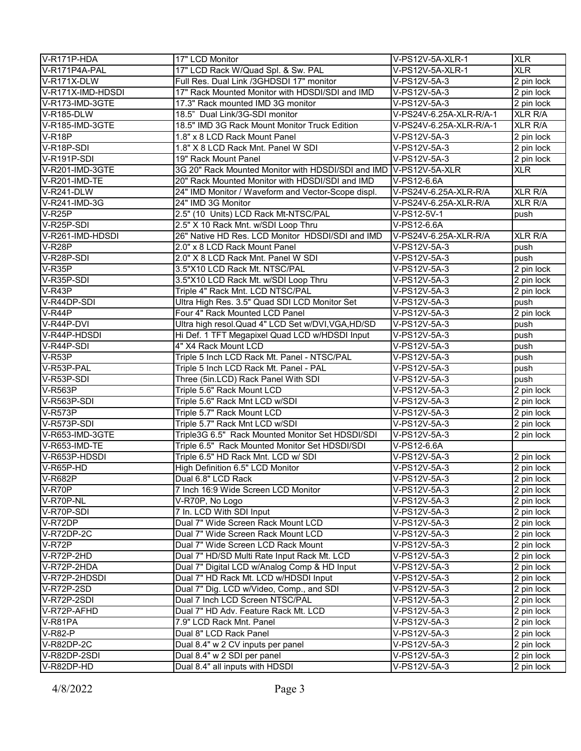| V-R171P-HDA       | 17" LCD Monitor                                                   | V-PS12V-5A-XLR-1        | <b>XLR</b>              |
|-------------------|-------------------------------------------------------------------|-------------------------|-------------------------|
| V-R171P4A-PAL     | 17" LCD Rack W/Quad Spl. & Sw. PAL                                | V-PS12V-5A-XLR-1        | <b>XLR</b>              |
| V-R171X-DLW       | Full Res. Dual Link /3GHDSDI 17" monitor                          | V-PS12V-5A-3            | 2 pin lock              |
| V-R171X-IMD-HDSDI | 17" Rack Mounted Monitor with HDSDI/SDI and IMD                   | V-PS12V-5A-3            | 2 pin lock              |
| V-R173-IMD-3GTE   | 17.3" Rack mounted IMD 3G monitor                                 | V-PS12V-5A-3            | 2 pin lock              |
| <b>V-R185-DLW</b> | 18.5" Dual Link/3G-SDI monitor                                    | V-PS24V-6.25A-XLR-R/A-1 | <b>XLR R/A</b>          |
| V-R185-IMD-3GTE   | 18.5" IMD 3G Rack Mount Monitor Truck Edition                     | V-PS24V-6.25A-XLR-R/A-1 | <b>XLR R/A</b>          |
| <b>V-R18P</b>     | 1.8" x 8 LCD Rack Mount Panel                                     | V-PS12V-5A-3            | 2 pin lock              |
| V-R18P-SDI        | 1.8" X 8 LCD Rack Mnt. Panel W SDI                                | V-PS12V-5A-3            | 2 pin lock              |
| V-R191P-SDI       | 19" Rack Mount Panel                                              | V-PS12V-5A-3            | 2 pin lock              |
| V-R201-IMD-3GTE   | 3G 20" Rack Mounted Monitor with HDSDI/SDI and IMD V-PS12V-5A-XLR |                         | <b>XLR</b>              |
| V-R201-IMD-TE     | 20" Rack Mounted Monitor with HDSDI/SDI and IMD                   | V-PS12-6.6A             |                         |
| <b>V-R241-DLW</b> | 24" IMD Monitor / Waveform and Vector-Scope displ.                | V-PS24V-6.25A-XLR-R/A   | <b>XLR R/A</b>          |
| V-R241-IMD-3G     | 24" IMD 3G Monitor                                                | V-PS24V-6.25A-XLR-R/A   | <b>XLR R/A</b>          |
| $V-R25P$          | 2.5" (10 Units) LCD Rack Mt-NTSC/PAL                              | V-PS12-5V-1             | push                    |
| V-R25P-SDI        | 2.5" X 10 Rack Mnt. w/SDI Loop Thru                               | V-PS12-6.6A             |                         |
| V-R261-IMD-HDSDI  | 26" Native HD Res. LCD Monitor HDSDI/SDI and IMD                  | V-PS24V-6.25A-XLR-R/A   | <b>XLR R/A</b>          |
| <b>V-R28P</b>     | 2.0" x 8 LCD Rack Mount Panel                                     | V-PS12V-5A-3            | push                    |
| V-R28P-SDI        | 2.0" X 8 LCD Rack Mnt. Panel W SDI                                | V-PS12V-5A-3            | push                    |
| $V-R35P$          | 3.5"X10 LCD Rack Mt. NTSC/PAL                                     | V-PS12V-5A-3            | 2 pin lock              |
| V-R35P-SDI        | 3.5"X10 LCD Rack Mt. w/SDI Loop Thru                              | V-PS12V-5A-3            | 2 pin lock              |
| V-R43P            | Triple 4" Rack Mnt. LCD NTSC/PAL                                  | V-PS12V-5A-3            | 2 pin lock              |
| V-R44DP-SDI       | Ultra High Res. 3.5" Quad SDI LCD Monitor Set                     | V-PS12V-5A-3            | push                    |
| V-R44P            | Four 4" Rack Mounted LCD Panel                                    | V-PS12V-5A-3            | $\overline{2}$ pin lock |
| V-R44P-DVI        | Ultra high resol. Quad 4" LCD Set w/DVI, VGA, HD/SD               | V-PS12V-5A-3            | push                    |
| V-R44P-HDSDI      | Hi Def. 1 TFT Megapixel Quad LCD w/HDSDI Input                    | V-PS12V-5A-3            | push                    |
| V-R44P-SDI        | 4" X4 Rack Mount LCD                                              | V-PS12V-5A-3            | push                    |
| $V-R53P$          | Triple 5 Inch LCD Rack Mt. Panel - NTSC/PAL                       | V-PS12V-5A-3            | push                    |
| V-R53P-PAL        | Triple 5 Inch LCD Rack Mt. Panel - PAL                            | V-PS12V-5A-3            | push                    |
| V-R53P-SDI        | Three (5in.LCD) Rack Panel With SDI                               | V-PS12V-5A-3            | push                    |
| <b>V-R563P</b>    | Triple 5.6" Rack Mount LCD                                        | V-PS12V-5A-3            | 2 pin lock              |
| V-R563P-SDI       | Triple 5.6" Rack Mnt LCD w/SDI                                    | V-PS12V-5A-3            | 2 pin lock              |
| <b>V-R573P</b>    | Triple 5.7" Rack Mount LCD                                        | V-PS12V-5A-3            | 2 pin lock              |
| V-R573P-SDI       | Triple 5.7" Rack Mnt LCD w/SDI                                    | V-PS12V-5A-3            | 2 pin lock              |
| V-R653-IMD-3GTE   | Triple3G 6.5" Rack Mounted Monitor Set HDSDI/SDI                  | V-PS12V-5A-3            | 2 pin lock              |
| V-R653-IMD-TE     | Triple 6.5" Rack Mounted Monitor Set HDSDI/SDI                    | V-PS12-6.6A             |                         |
| V-R653P-HDSDI     | Triple 6.5" HD Rack Mnt. LCD w/ SDI                               | V-PS12V-5A-3            | 2 pin lock              |
| V-R65P-HD         | High Definition 6.5" LCD Monitor                                  | V-PS12V-5A-3            | 2 pin lock              |
| <b>V-R682P</b>    | Dual 6.8" LCD Rack                                                | $V-PS12V-5A-3$          | 2 pin lock              |
| V-R70P            | 7 Inch 16:9 Wide Screen LCD Monitor                               | V-PS12V-5A-3            | 2 pin lock              |
| V-R70P-NL         | V-R70P, No Logo                                                   | V-PS12V-5A-3            | 2 pin lock              |
| V-R70P-SDI        | 7 In. LCD With SDI Input                                          | V-PS12V-5A-3            | 2 pin lock              |
| V-R72DP           | Dual 7" Wide Screen Rack Mount LCD                                | V-PS12V-5A-3            | 2 pin lock              |
| V-R72DP-2C        | Dual 7" Wide Screen Rack Mount LCD                                | V-PS12V-5A-3            | 2 pin lock              |
| $V-R72P$          | Dual 7" Wide Screen LCD Rack Mount                                | V-PS12V-5A-3            | 2 pin lock              |
| V-R72P-2HD        | Dual 7" HD/SD Multi Rate Input Rack Mt. LCD                       | V-PS12V-5A-3            | 2 pin lock              |
| V-R72P-2HDA       | Dual 7" Digital LCD w/Analog Comp & HD Input                      | V-PS12V-5A-3            | 2 pin lock              |
| V-R72P-2HDSDI     | Dual 7" HD Rack Mt. LCD w/HDSDI Input                             | V-PS12V-5A-3            | 2 pin lock              |
| V-R72P-2SD        | Dual 7" Dig. LCD w/Video, Comp., and SDI                          | V-PS12V-5A-3            | 2 pin lock              |
| V-R72P-2SDI       | Dual 7 Inch LCD Screen NTSC/PAL                                   | V-PS12V-5A-3            | 2 pin lock              |
| V-R72P-AFHD       | Dual 7" HD Adv. Feature Rack Mt. LCD                              | V-PS12V-5A-3            | 2 pin lock              |
| V-R81PA           | 7.9" LCD Rack Mnt. Panel                                          | V-PS12V-5A-3            | 2 pin lock              |
| <b>V-R82-P</b>    | Dual 8" LCD Rack Panel                                            | V-PS12V-5A-3            | 2 pin lock              |
| V-R82DP-2C        | Dual 8.4" w 2 CV inputs per panel                                 | V-PS12V-5A-3            | 2 pin lock              |
| V-R82DP-2SDI      | Dual 8.4" w 2 SDI per panel                                       | V-PS12V-5A-3            | 2 pin lock              |
| V-R82DP-HD        | Dual 8.4" all inputs with HDSDI                                   | V-PS12V-5A-3            | 2 pin lock              |